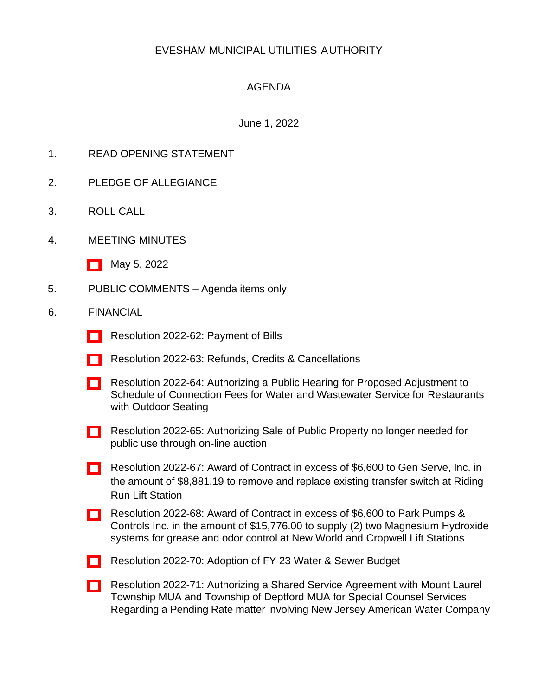# EVESHAM MUNICIPAL UTILITIES AUTHORITY

## AGENDA

### June 1, 2022

- 1. READ OPENING STATEMENT
- 2. PLEDGE OF ALLEGIANCE
- 3. ROLL CALL
- 4. MEETING MINUTES
	- [\[ \]](http://www.eveshammua.com/wp-content/uploads/2022/05/minutes-5-5-2022.pdf) May 5, 2022
- 5. PUBLIC COMMENTS Agenda items only

#### 6. FINANCIAL

- [\[ \]](http://www.eveshammua.com/wp-content/uploads/2022/05/Resolution-2022-62-Bill-List.pdf) Resolution 2022-62: Payment of Bills
- [\[ \]](http://www.eveshammua.com/wp-content/uploads/2022/06/Resolution-2022-63-Refundsupdated.pdf) Resolution 2022-63: Refunds, Credits & Cancellations
- [\[ \]](http://www.eveshammua.com/wp-content/uploads/2022/05/Resolution-2022-64-authorizing-public-hearing-for-adjustment-to-connection-fee-rate-schedule.pdf) Resolution 2022-64: Authorizing a Public Hearing for Proposed Adjustment to Schedule of Connection Fees for Water and Wastewater Service for Restaurants with Outdoor Seating
- [\[ \]](http://www.eveshammua.com/wp-content/uploads/2022/06/Resolution-2022-65-Authorize-Sale-Municibidupdated.pdf) Resolution 2022-65: Authorizing Sale of Public Property no longer needed for public use through on-line auction
- [\[ \]](http://www.eveshammua.com/wp-content/uploads/2022/05/Resolution-2022-67-Gen-Serve-Inc.pdf) Resolution 2022-67: Award of Contract in excess of \$6,600 to Gen Serve, Inc. in the amount of \$8,881.19 to remove and replace existing transfer switch at Riding Run Lift Station
- [\[ \]](http://www.eveshammua.com/wp-content/uploads/2022/05/Resolution-2022-68-Park-Pumps-Controls.pdf) Resolution 2022-68: Award of Contract in excess of \$6,600 to Park Pumps & Controls Inc. in the amount of \$15,776.00 to supply (2) two Magnesium Hydroxide systems for grease and odor control at New World and Cropwell Lift Stations
- [\[ \]](http://www.eveshammua.com/wp-content/uploads/2022/05/Resolution-2022-70-Adopted-Budget.pdf) Resolution 2022-70: Adoption of FY 23 Water & Sewer Budget
- [\[ \]](http://www.eveshammua.com/wp-content/uploads/2022/05/Resolution-2022-71-Authorizing-SSA-for-Special-Counsel-NJAWC-Rate-Hearing.pdf) Resolution 2022-71: Authorizing a Shared Service Agreement with Mount Laurel Township MUA and Township of Deptford MUA for Special Counsel Services Regarding a Pending Rate matter involving New Jersey American Water Company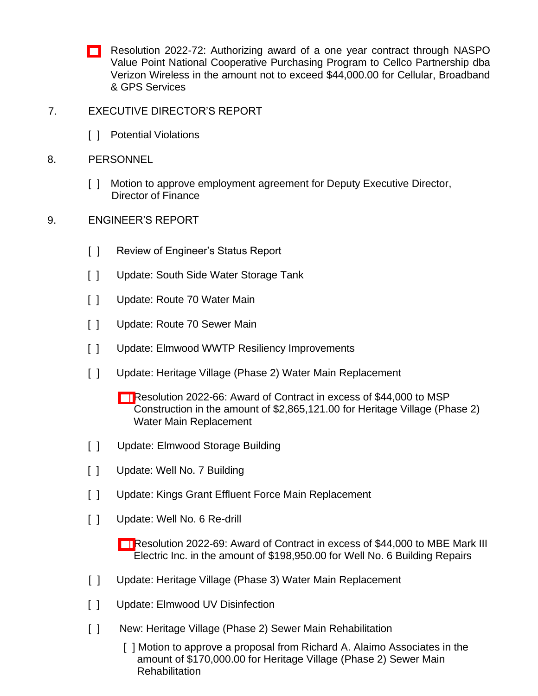- [\[ \]](http://www.eveshammua.com/wp-content/uploads/2022/05/Resolution-2022-72-Award-to-Verizon-Wireless-under-NASPO.pdf) Resolution 2022-72: Authorizing award of a one year contract through NASPO Value Point National Cooperative Purchasing Program to Cellco Partnership dba Verizon Wireless in the amount not to exceed \$44,000.00 for Cellular, Broadband & GPS Services
- 7. EXECUTIVE DIRECTOR'S REPORT
	- [ ] Potential Violations
- 8. PERSONNEL
	- [] Motion to approve employment agreement for Deputy Executive Director, Director of Finance
- 9. ENGINEER'S REPORT
	- [ ] Review of Engineer's Status Report
	- [ ] Update: South Side Water Storage Tank
	- [ ] Update: Route 70 Water Main
	- [ ] Update: Route 70 Sewer Main
	- [ ] Update: Elmwood WWTP Resiliency Improvements
	- [ ] Update: Heritage Village (Phase 2) Water Main Replacement
		- [\[ \]](http://www.eveshammua.com/wp-content/uploads/2022/05/Resolution-2022-66-MSP-Construction.pdf) Resolution 2022-66: Award of Contract in excess of \$44,000 to MSP Construction in the amount of \$2,865,121.00 for Heritage Village (Phase 2) Water Main Replacement
	- [ ] Update: Elmwood Storage Building
	- [ ] Update: Well No. 7 Building
	- [ ] Update: Kings Grant Effluent Force Main Replacement
	- [ ] Update: Well No. 6 Re-drill
		- [\[ \] R](http://www.eveshammua.com/wp-content/uploads/2022/05/Resolution-2022-69-MBE-Mark-III.pdf)esolution 2022-69: Award of Contract in excess of \$44,000 to MBE Mark III Electric Inc. in the amount of \$198,950.00 for Well No. 6 Building Repairs
	- [ ] Update: Heritage Village (Phase 3) Water Main Replacement
	- [ ] Update: Elmwood UV Disinfection
	- [ ] New: Heritage Village (Phase 2) Sewer Main Rehabilitation
		- [ ] Motion to approve a proposal from Richard A. Alaimo Associates in the amount of \$170,000.00 for Heritage Village (Phase 2) Sewer Main **Rehabilitation**